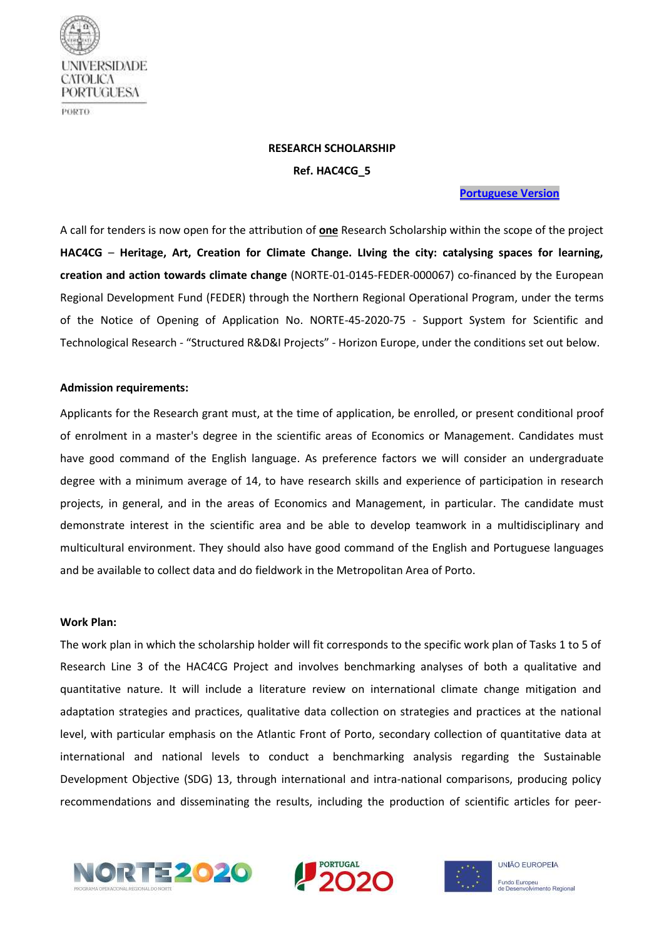

# **RESEARCH SCHOLARSHIP Ref. HAC4CG\_5**

### **[Portuguese Version](https://ucppt-my.sharepoint.com/:w:/g/personal/dmsousa_ucp_pt/EZEi2CJ1uApLrWtySK_rhWEBaiFRuOAcGopdiHz1LjoTCg?e=4%3AikRLO2&at=9&CID=A25F0AE0-0801-4A41-BE50-AFBA8ABDF39F&wdLOR=c2B35B2EA-6A40-4F21-9676-DEA35D369114)**

A call for tenders is now open for the attribution of **one** Research Scholarship within the scope of the project **HAC4CG** – **Heritage, Art, Creation for Climate Change. LIving the city: catalysing spaces for learning, creation and action towards climate change** (NORTE-01-0145-FEDER-000067) co-financed by the European Regional Development Fund (FEDER) through the Northern Regional Operational Program, under the terms of the Notice of Opening of Application No. NORTE-45-2020-75 - Support System for Scientific and Technological Research - "Structured R&D&I Projects" - Horizon Europe, under the conditions set out below.

#### **Admission requirements:**

Applicants for the Research grant must, at the time of application, be enrolled, or present conditional proof of enrolment in a master's degree in the scientific areas of Economics or Management. Candidates must have good command of the English language. As preference factors we will consider an undergraduate degree with a minimum average of 14, to have research skills and experience of participation in research projects, in general, and in the areas of Economics and Management, in particular. The candidate must demonstrate interest in the scientific area and be able to develop teamwork in a multidisciplinary and multicultural environment. They should also have good command of the English and Portuguese languages and be available to collect data and do fieldwork in the Metropolitan Area of Porto.

#### **Work Plan:**

The work plan in which the scholarship holder will fit corresponds to the specific work plan of Tasks 1 to 5 of Research Line 3 of the HAC4CG Project and involves benchmarking analyses of both a qualitative and quantitative nature. It will include a literature review on international climate change mitigation and adaptation strategies and practices, qualitative data collection on strategies and practices at the national level, with particular emphasis on the Atlantic Front of Porto, secondary collection of quantitative data at international and national levels to conduct a benchmarking analysis regarding the Sustainable Development Objective (SDG) 13, through international and intra-national comparisons, producing policy recommendations and disseminating the results, including the production of scientific articles for peer-





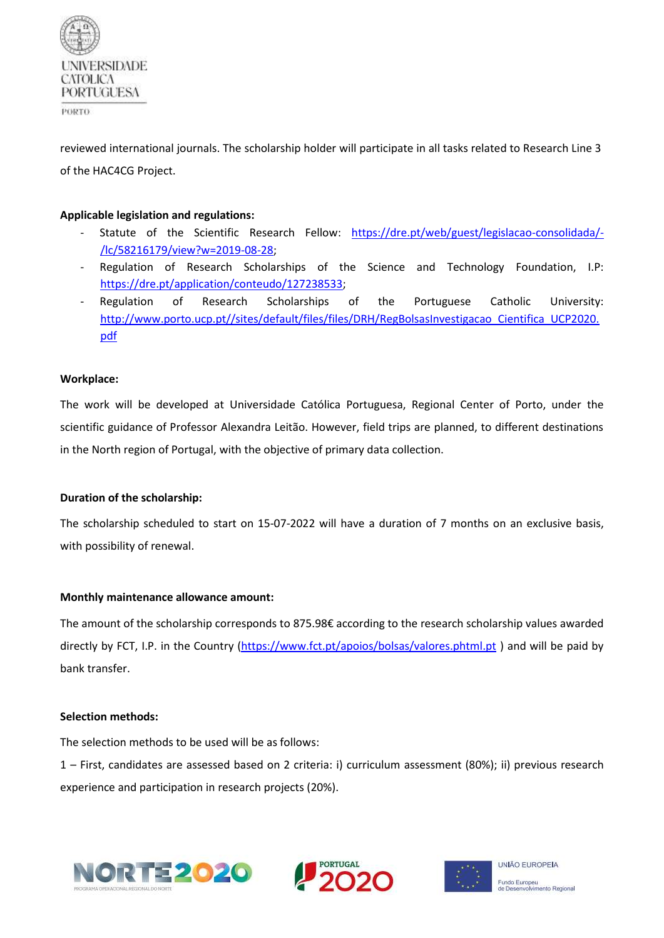

PORTO.

reviewed international journals. The scholarship holder will participate in all tasks related to Research Line 3 of the HAC4CG Project.

### **Applicable legislation and regulations:**

- Statute of the Scientific Research Fellow: [https://dre.pt/web/guest/legislacao-consolidada/-](https://dre.pt/web/guest/legislacao-consolidada/-/lc/58216179/view?w=2019-08-28) [/lc/58216179/view?w=2019-08-28;](https://dre.pt/web/guest/legislacao-consolidada/-/lc/58216179/view?w=2019-08-28)
- Regulation of Research Scholarships of the Science and Technology Foundation, I.P: [https://dre.pt/application/conteudo/127238533;](https://dre.pt/application/conteudo/127238533)
- Regulation of Research Scholarships of the Portuguese Catholic University: [http://www.porto.ucp.pt//sites/default/files/files/DRH/RegBolsasInvestigacao\\_Cientifica\\_UCP2020.](http://www.porto.ucp.pt/sites/default/files/files/DRH/RegBolsasInvestigacao_Cientifica_UCP2020.pdf) [pdf](http://www.porto.ucp.pt/sites/default/files/files/DRH/RegBolsasInvestigacao_Cientifica_UCP2020.pdf)

# **Workplace:**

The work will be developed at Universidade Católica Portuguesa, Regional Center of Porto, under the scientific guidance of Professor Alexandra Leitão. However, field trips are planned, to different destinations in the North region of Portugal, with the objective of primary data collection.

#### **Duration of the scholarship:**

The scholarship scheduled to start on 15-07-2022 will have a duration of 7 months on an exclusive basis, with possibility of renewal.

#### **Monthly maintenance allowance amount:**

The amount of the scholarship corresponds to 875.98€ according to the research scholarship values awarded directly by FCT, I.P. in the Country [\(https://www.fct.pt/apoios/bolsas/valores.phtml.pt](https://www.fct.pt/apoios/bolsas/valores.phtml.pt)) and will be paid by bank transfer.

#### **Selection methods:**

The selection methods to be used will be as follows:

1 – First, candidates are assessed based on 2 criteria: i) curriculum assessment (80%); ii) previous research experience and participation in research projects (20%).





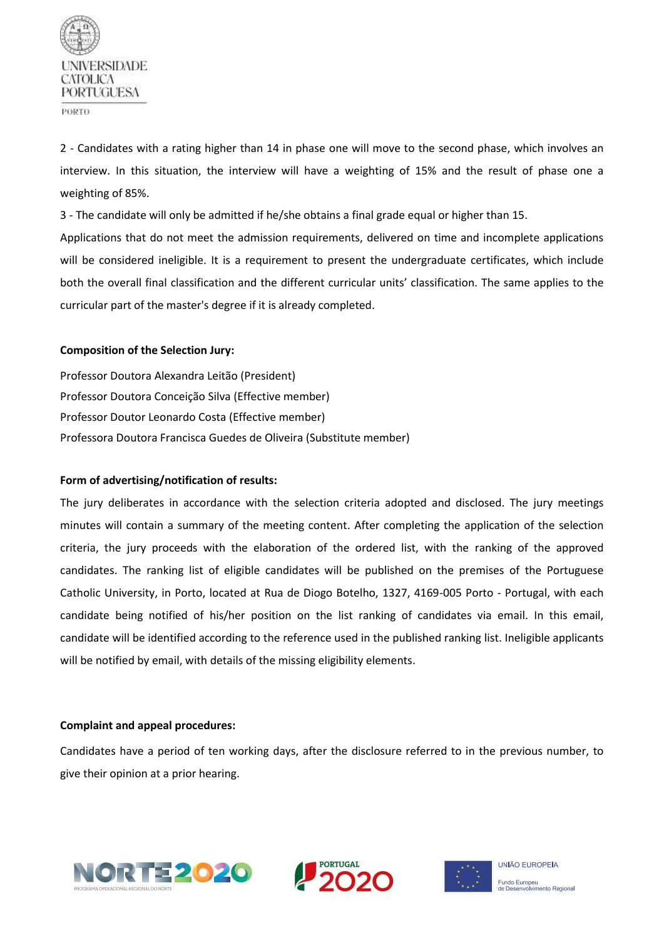

DOUTO

2 - Candidates with a rating higher than 14 in phase one will move to the second phase, which involves an interview. In this situation, the interview will have a weighting of 15% and the result of phase one a weighting of 85%.

3 - The candidate will only be admitted if he/she obtains a final grade equal or higher than 15.

Applications that do not meet the admission requirements, delivered on time and incomplete applications will be considered ineligible. It is a requirement to present the undergraduate certificates, which include both the overall final classification and the different curricular units' classification. The same applies to the curricular part of the master's degree if it is already completed.

#### **Composition of the Selection Jury:**

Professor Doutora Alexandra Leitão (President) Professor Doutora Conceição Silva (Effective member) Professor Doutor Leonardo Costa (Effective member) Professora Doutora Francisca Guedes de Oliveira (Substitute member)

#### **Form of advertising/notification of results:**

The jury deliberates in accordance with the selection criteria adopted and disclosed. The jury meetings minutes will contain a summary of the meeting content. After completing the application of the selection criteria, the jury proceeds with the elaboration of the ordered list, with the ranking of the approved candidates. The ranking list of eligible candidates will be published on the premises of the Portuguese Catholic University, in Porto, located at Rua de Diogo Botelho, 1327, 4169-005 Porto - Portugal, with each candidate being notified of his/her position on the list ranking of candidates via email. In this email, candidate will be identified according to the reference used in the published ranking list. Ineligible applicants will be notified by email, with details of the missing eligibility elements.

#### **Complaint and appeal procedures:**

Candidates have a period of ten working days, after the disclosure referred to in the previous number, to give their opinion at a prior hearing.





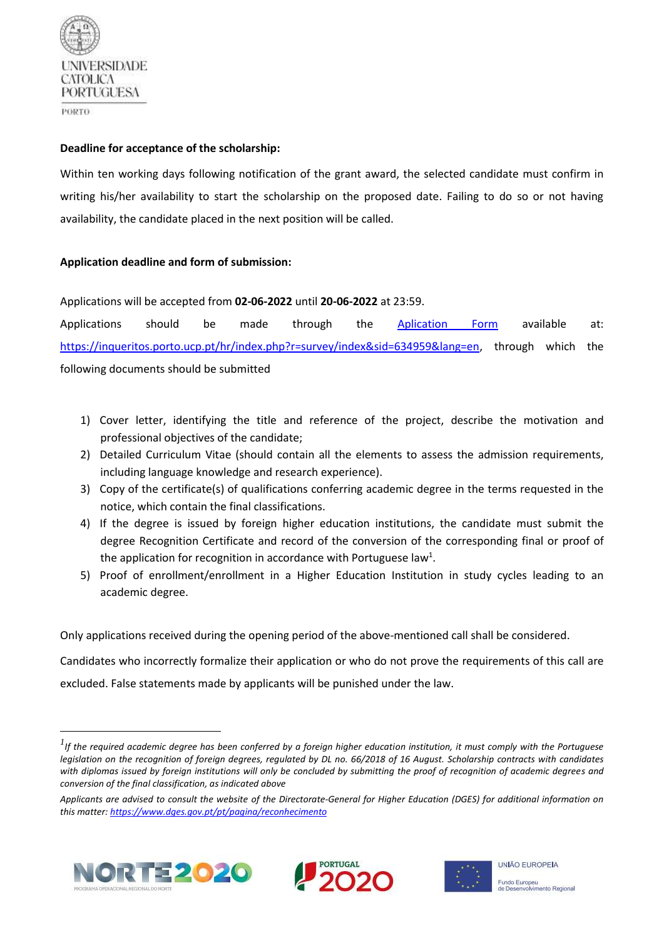

PORTO

### **Deadline for acceptance of the scholarship:**

Within ten working days following notification of the grant award, the selected candidate must confirm in writing his/her availability to start the scholarship on the proposed date. Failing to do so or not having availability, the candidate placed in the next position will be called.

# **Application deadline and form of submission:**

Applications will be accepted from **02-06-2022** until **20-06-2022** at 23:59.

Applications should be made through the [Aplication Form](https://inqueritos.porto.ucp.pt/hr/index.php?r=survey/index&sid=634959&lang=en) available at: [https://inqueritos.porto.ucp.pt/hr/index.php?r=survey/index&sid=634959&lang=en,](https://inqueritos.porto.ucp.pt/hr/index.php?r=survey/index&sid=634959&lang=en) through which the following documents should be submitted

- 1) Cover letter, identifying the title and reference of the project, describe the motivation and professional objectives of the candidate;
- 2) Detailed Curriculum Vitae (should contain all the elements to assess the admission requirements, including language knowledge and research experience).
- 3) Copy of the certificate(s) of qualifications conferring academic degree in the terms requested in the notice, which contain the final classifications.
- 4) If the degree is issued by foreign higher education institutions, the candidate must submit the degree Recognition Certificate and record of the conversion of the corresponding final or proof of the application for recognition in accordance with Portuguese law<sup>1</sup>.
- 5) Proof of enrollment/enrollment in a Higher Education Institution in study cycles leading to an academic degree.

Only applications received during the opening period of the above-mentioned call shall be considered.

Candidates who incorrectly formalize their application or who do not prove the requirements of this call are excluded. False statements made by applicants will be punished under the law.

*Applicants are advised to consult the website of the Directorate-General for Higher Education (DGES) for additional information on this matter:<https://www.dges.gov.pt/pt/pagina/reconhecimento>*







*<sup>1</sup> If the required academic degree has been conferred by a foreign higher education institution, it must comply with the Portuguese legislation on the recognition of foreign degrees, regulated by DL no. 66/2018 of 16 August. Scholarship contracts with candidates with diplomas issued by foreign institutions will only be concluded by submitting the proof of recognition of academic degrees and conversion of the final classification, as indicated above*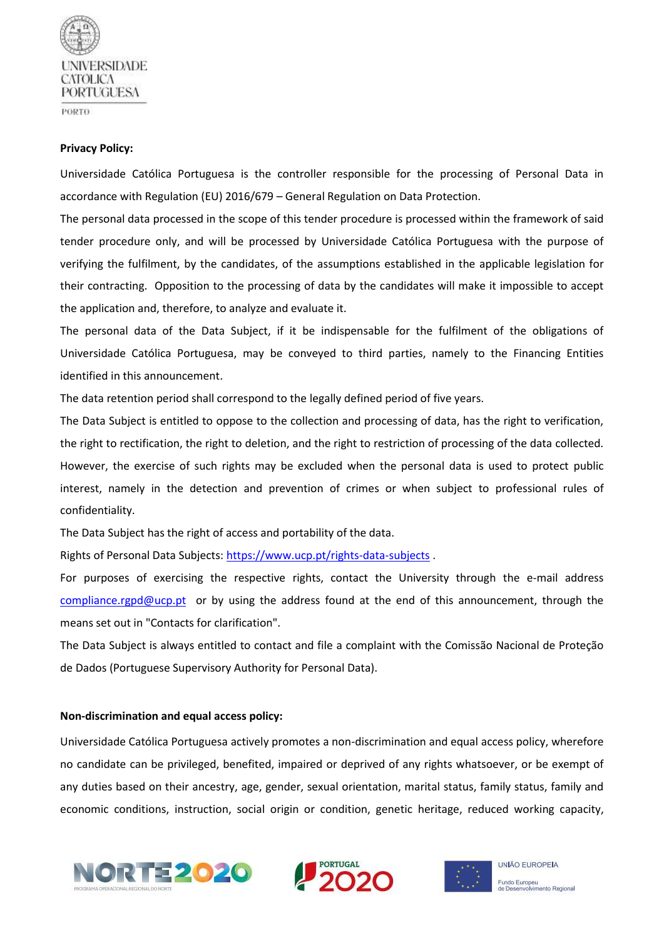

#### DOUTEL

#### **Privacy Policy:**

Universidade Católica Portuguesa is the controller responsible for the processing of Personal Data in accordance with Regulation (EU) 2016/679 – General Regulation on Data Protection.

The personal data processed in the scope of this tender procedure is processed within the framework of said tender procedure only, and will be processed by Universidade Católica Portuguesa with the purpose of verifying the fulfilment, by the candidates, of the assumptions established in the applicable legislation for their contracting. Opposition to the processing of data by the candidates will make it impossible to accept the application and, therefore, to analyze and evaluate it.

The personal data of the Data Subject, if it be indispensable for the fulfilment of the obligations of Universidade Católica Portuguesa, may be conveyed to third parties, namely to the Financing Entities identified in this announcement.

The data retention period shall correspond to the legally defined period of five years.

The Data Subject is entitled to oppose to the collection and processing of data, has the right to verification, the right to rectification, the right to deletion, and the right to restriction of processing of the data collected. However, the exercise of such rights may be excluded when the personal data is used to protect public interest, namely in the detection and prevention of crimes or when subject to professional rules of confidentiality.

The Data Subject has the right of access and portability of the data.

Rights of Personal Data Subjects: <https://www.ucp.pt/rights-data-subjects> .

For purposes of exercising the respective rights, contact the University through the e-mail address [compliance.rgpd@ucp.pt](mailto:compliance.rgpd@ucp.pt) or by using the address found at the end of this announcement, through the means set out in "Contacts for clarification".

The Data Subject is always entitled to contact and file a complaint with the Comissão Nacional de Proteção de Dados (Portuguese Supervisory Authority for Personal Data).

#### **Non-discrimination and equal access policy:**

Universidade Católica Portuguesa actively promotes a non-discrimination and equal access policy, wherefore no candidate can be privileged, benefited, impaired or deprived of any rights whatsoever, or be exempt of any duties based on their ancestry, age, gender, sexual orientation, marital status, family status, family and economic conditions, instruction, social origin or condition, genetic heritage, reduced working capacity,